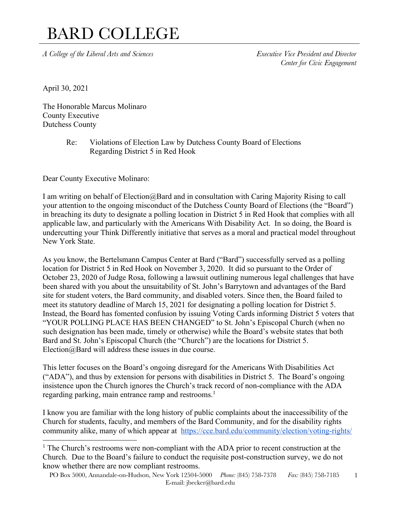*A College of the Liberal Arts and Sciences Executive Vice President and Director*

*Center for Civic Engagement*

April 30, 2021

The Honorable Marcus Molinaro County Executive Dutchess County

> Re: Violations of Election Law by Dutchess County Board of Elections Regarding District 5 in Red Hook

Dear County Executive Molinaro:

I am writing on behalf of Election@Bard and in consultation with Caring Majority Rising to call your attention to the ongoing misconduct of the Dutchess County Board of Elections (the "Board") in breaching its duty to designate a polling location in District 5 in Red Hook that complies with all applicable law, and particularly with the Americans With Disability Act. In so doing, the Board is undercutting your Think Differently initiative that serves as a moral and practical model throughout New York State.

As you know, the Bertelsmann Campus Center at Bard ("Bard") successfully served as a polling location for District 5 in Red Hook on November 3, 2020. It did so pursuant to the Order of October 23, 2020 of Judge Rosa, following a lawsuit outlining numerous legal challenges that have been shared with you about the unsuitability of St. John's Barrytown and advantages of the Bard site for student voters, the Bard community, and disabled voters. Since then, the Board failed to meet its statutory deadline of March 15, 2021 for designating a polling location for District 5. Instead, the Board has fomented confusion by issuing Voting Cards informing District 5 voters that "YOUR POLLING PLACE HAS BEEN CHANGED" to St. John's Episcopal Church (when no such designation has been made, timely or otherwise) while the Board's website states that both Bard and St. John's Episcopal Church (the "Church") are the locations for District 5. Election@Bard will address these issues in due course.

This letter focuses on the Board's ongoing disregard for the Americans With Disabilities Act ("ADA"), and thus by extension for persons with disabilities in District 5. The Board's ongoing insistence upon the Church ignores the Church's track record of non-compliance with the ADA regarding parking, main entrance ramp and restrooms.<sup>1</sup>

I know you are familiar with the long history of public complaints about the inaccessibility of the Church for students, faculty, and members of the Bard Community, and for the disability rights community alike, many of which appear at https://cce.bard.edu/community/election/voting-rights/

<sup>&</sup>lt;sup>1</sup> The Church's restrooms were non-compliant with the ADA prior to recent construction at the Church. Due to the Board's failure to conduct the requisite post-construction survey, we do not know whether there are now compliant restrooms.

PO Box 5000, Annandale-on-Hudson, New York 12504-5000 *Phone:* (845) 758-7378 *Fax:* (845) 758-7185 E-mail: jbecker@bard.edu 1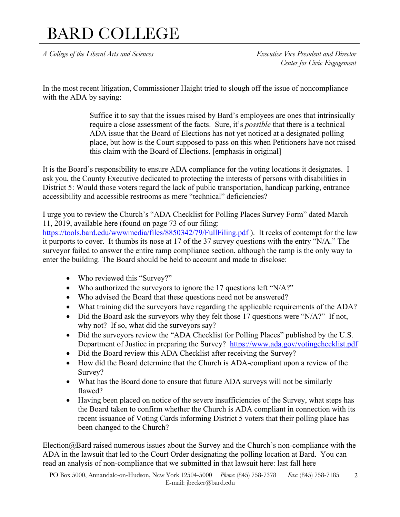*A College of the Liberal Arts and Sciences Executive Vice President and Director*

*Center for Civic Engagement*

In the most recent litigation, Commissioner Haight tried to slough off the issue of noncompliance with the ADA by saying:

> Suffice it to say that the issues raised by Bard's employees are ones that intrinsically require a close assessment of the facts. Sure, it's *possible* that there is a technical ADA issue that the Board of Elections has not yet noticed at a designated polling place, but how is the Court supposed to pass on this when Petitioners have not raised this claim with the Board of Elections. [emphasis in original]

It is the Board's responsibility to ensure ADA compliance for the voting locations it designates. I ask you, the County Executive dedicated to protecting the interests of persons with disabilities in District 5: Would those voters regard the lack of public transportation, handicap parking, entrance accessibility and accessible restrooms as mere "technical" deficiencies?

I urge you to review the Church's "ADA Checklist for Polling Places Survey Form" dated March 11, 2019, available here (found on page 73 of our filing:

https://tools.bard.edu/wwwmedia/files/8850342/79/FullFiling.pdf ). It reeks of contempt for the law it purports to cover. It thumbs its nose at 17 of the 37 survey questions with the entry "N/A." The surveyor failed to answer the entire ramp compliance section, although the ramp is the only way to enter the building. The Board should be held to account and made to disclose:

- Who reviewed this "Survey?"
- Who authorized the surveyors to ignore the 17 questions left "N/A?"
- Who advised the Board that these questions need not be answered?
- What training did the surveyors have regarding the applicable requirements of the ADA?
- Did the Board ask the surveyors why they felt those 17 questions were "N/A?" If not, why not? If so, what did the surveyors say?
- Did the surveyors review the "ADA Checklist for Polling Places" published by the U.S. Department of Justice in preparing the Survey? https://www.ada.gov/votingchecklist.pdf
- Did the Board review this ADA Checklist after receiving the Survey?
- How did the Board determine that the Church is ADA-compliant upon a review of the Survey?
- What has the Board done to ensure that future ADA surveys will not be similarly flawed?
- Having been placed on notice of the severe insufficiencies of the Survey, what steps has the Board taken to confirm whether the Church is ADA compliant in connection with its recent issuance of Voting Cards informing District 5 voters that their polling place has been changed to the Church?

 $Election@Bard$  raised numerous issues about the Survey and the Church's non-compliance with the ADA in the lawsuit that led to the Court Order designating the polling location at Bard. You can read an analysis of non-compliance that we submitted in that lawsuit here: last fall here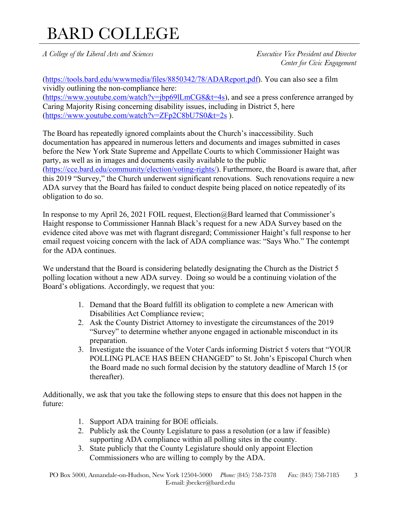*A College of the Liberal Arts and Sciences Executive Vice President and Director*

*Center for Civic Engagement*

(https://tools.bard.edu/wwwmedia/files/8850342/78/ADAReport.pdf). You can also see a film vividly outlining the non-compliance here:  $(htips://www.youtube.com/watch?v=ibp69lLmCG8&t=4s)$ , and see a press conference arranged by Caring Majority Rising concerning disability issues, including in District 5, here (https://www.youtube.com/watch?v=ZFp2C8bU7S0&t=2s ).

The Board has repeatedly ignored complaints about the Church's inaccessibility. Such documentation has appeared in numerous letters and documents and images submitted in cases before the New York State Supreme and Appellate Courts to which Commissioner Haight was party, as well as in images and documents easily available to the public (https://cce.bard.edu/community/election/voting-rights/). Furthermore, the Board is aware that, after this 2019 "Survey," the Church underwent significant renovations. Such renovations require a new ADA survey that the Board has failed to conduct despite being placed on notice repeatedly of its obligation to do so.

In response to my April 26, 2021 FOIL request, Election@Bard learned that Commissioner's Haight response to Commissioner Hannah Black's request for a new ADA Survey based on the evidence cited above was met with flagrant disregard; Commissioner Haight's full response to her email request voicing concern with the lack of ADA compliance was: "Says Who." The contempt for the ADA continues.

We understand that the Board is considering belatedly designating the Church as the District 5 polling location without a new ADA survey. Doing so would be a continuing violation of the Board's obligations. Accordingly, we request that you:

- 1. Demand that the Board fulfill its obligation to complete a new American with Disabilities Act Compliance review;
- 2. Ask the County District Attorney to investigate the circumstances of the 2019 "Survey" to determine whether anyone engaged in actionable misconduct in its preparation.
- 3. Investigate the issuance of the Voter Cards informing District 5 voters that "YOUR POLLING PLACE HAS BEEN CHANGED" to St. John's Episcopal Church when the Board made no such formal decision by the statutory deadline of March 15 (or thereafter).

Additionally, we ask that you take the following steps to ensure that this does not happen in the future:

- 1. Support ADA training for BOE officials.
- 2. Publicly ask the County Legislature to pass a resolution (or a law if feasible) supporting ADA compliance within all polling sites in the county.
- 3. State publicly that the County Legislature should only appoint Election Commissioners who are willing to comply by the ADA.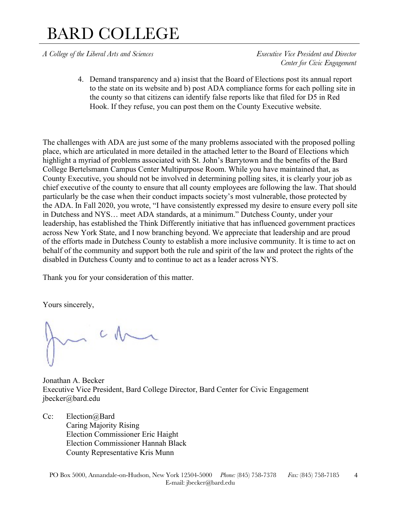*A College of the Liberal Arts and Sciences Executive Vice President and Director*

*Center for Civic Engagement*

4. Demand transparency and a) insist that the Board of Elections post its annual report to the state on its website and b) post ADA compliance forms for each polling site in the county so that citizens can identify false reports like that filed for D5 in Red Hook. If they refuse, you can post them on the County Executive website.

The challenges with ADA are just some of the many problems associated with the proposed polling place, which are articulated in more detailed in the attached letter to the Board of Elections which highlight a myriad of problems associated with St. John's Barrytown and the benefits of the Bard College Bertelsmann Campus Center Multipurpose Room. While you have maintained that, as County Executive, you should not be involved in determining polling sites, it is clearly your job as chief executive of the county to ensure that all county employees are following the law. That should particularly be the case when their conduct impacts society's most vulnerable, those protected by the ADA. In Fall 2020, you wrote, "I have consistently expressed my desire to ensure every poll site in Dutchess and NYS… meet ADA standards, at a minimum." Dutchess County, under your leadership, has established the Think Differently initiative that has influenced government practices across New York State, and I now branching beyond. We appreciate that leadership and are proud of the efforts made in Dutchess County to establish a more inclusive community. It is time to act on behalf of the community and support both the rule and spirit of the law and protect the rights of the disabled in Dutchess County and to continue to act as a leader across NYS.

Thank you for your consideration of this matter.

Yours sincerely,

 $c \wedge$ 

Jonathan A. Becker Executive Vice President, Bard College Director, Bard Center for Civic Engagement jbecker@bard.edu

Cc: Election@Bard Caring Majority Rising Election Commissioner Eric Haight Election Commissioner Hannah Black County Representative Kris Munn